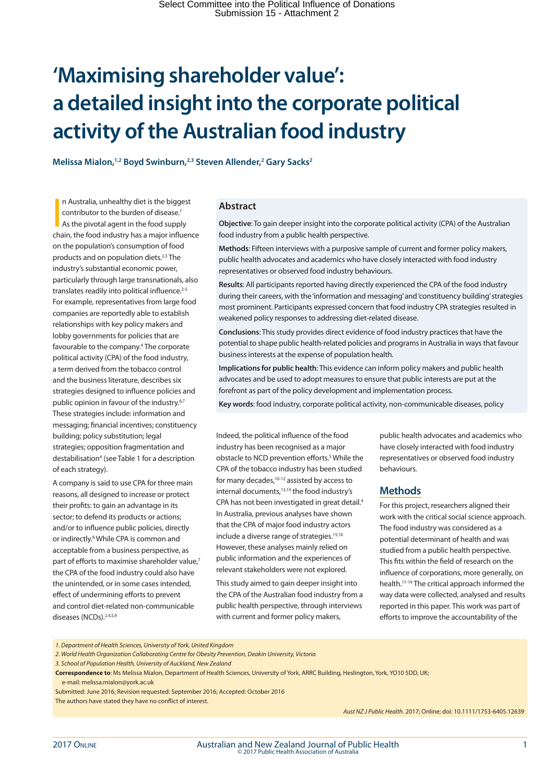# **'Maximising shareholder value': a detailed insight into the corporate political activity of the Australian food industry**

Melissa Mialon,<sup>1,2</sup> Boyd Swinburn,<sup>2,3</sup> Steven Allender,<sup>2</sup> Gary Sacks<sup>2</sup>

n Australia, unhealthy diet is the biggest<br>contributor to the burden of disease.<sup>1</sup><br>As the pivotal agent in the food supply<br>chain, the food industry has a major influence n Australia, unhealthy diet is the biggest contributor to the burden of disease.<sup>1</sup> As the pivotal agent in the food supply on the population's consumption of food products and on population diets.2,3 The industry's substantial economic power, particularly through large transnationals, also translates readily into political influence.<sup>2-5</sup> For example, representatives from large food companies are reportedly able to establish relationships with key policy makers and lobby governments for policies that are favourable to the company.<sup>4</sup> The corporate political activity (CPA) of the food industry, a term derived from the tobacco control and the business literature, describes six strategies designed to influence policies and public opinion in favour of the industry.<sup>6,7</sup> These strategies include: information and messaging; financial incentives; constituency building; policy substitution; legal strategies; opposition fragmentation and destabilisation<sup>4</sup> (see Table 1 for a description of each strategy).

A company is said to use CPA for three main reasons, all designed to increase or protect their profits: to gain an advantage in its sector; to defend its products or actions; and/or to influence public policies, directly or indirectly.<sup>8</sup> While CPA is common and acceptable from a business perspective, as part of efforts to maximise shareholder value,<sup>7</sup> the CPA of the food industry could also have the unintended, or in some cases intended, effect of undermining efforts to prevent and control diet-related non-communicable diseases (NCDs).2,4,5,9

#### **Abstract**

**Objective**: To gain deeper insight into the corporate political activity (CPA) of the Australian food industry from a public health perspective.

**Methods**: Fifteen interviews with a purposive sample of current and former policy makers, public health advocates and academics who have closely interacted with food industry representatives or observed food industry behaviours.

**Results**: All participants reported having directly experienced the CPA of the food industry during their careers, with the 'information and messaging' and 'constituency building' strategies most prominent. Participants expressed concern that food industry CPA strategies resulted in weakened policy responses to addressing diet-related disease.

**Conclusions**: This study provides direct evidence of food industry practices that have the potential to shape public health-related policies and programs in Australia in ways that favour business interests at the expense of population health.

**Implications for public health**: This evidence can inform policy makers and public health advocates and be used to adopt measures to ensure that public interests are put at the forefront as part of the policy development and implementation process.

**Key words**: food industry, corporate political activity, non-communicable diseases, policy

Indeed, the political influence of the food industry has been recognised as a major obstacle to NCD prevention efforts.<sup>5</sup> While the CPA of the tobacco industry has been studied for many decades,10-12 assisted by access to internal documents,<sup>13,14</sup> the food industry's CPA has not been investigated in great detail.4 In Australia, previous analyses have shown that the CPA of major food industry actors include a diverse range of strategies.<sup>15,16</sup> However, these analyses mainly relied on public information and the experiences of relevant stakeholders were not explored.

This study aimed to gain deeper insight into the CPA of the Australian food industry from a public health perspective, through interviews with current and former policy makers,

public health advocates and academics who have closely interacted with food industry representatives or observed food industry behaviours.

#### **Methods**

For this project, researchers aligned their work with the critical social science approach. The food industry was considered as a potential determinant of health and was studied from a public health perspective. This fits within the field of research on the influence of corporations, more generally, on health.17-19 The critical approach informed the way data were collected, analysed and results reported in this paper. This work was part of efforts to improve the accountability of the

*1. Department of Health Sciences, University of York, United Kingdom*

*2. World Health Organization Collaborating Centre for Obesity Prevention, Deakin University, Victoria*

**Correspondence to**: Ms Melissa Mialon, Department of Health Sciences, University of York, ARRC Building, Heslington, York, YO10 5DD, UK;

e-mail: melissa.mialon@york.ac.uk

The authors have stated they have no conflict of interest.

*Aust NZ J Public Health.* 2017; Online; doi: 10.1111/1753-6405.12639

*<sup>3.</sup> School of Population Health, University of Auckland, New Zealand*

Submitted: June 2016; Revision requested: September 2016; Accepted: October 2016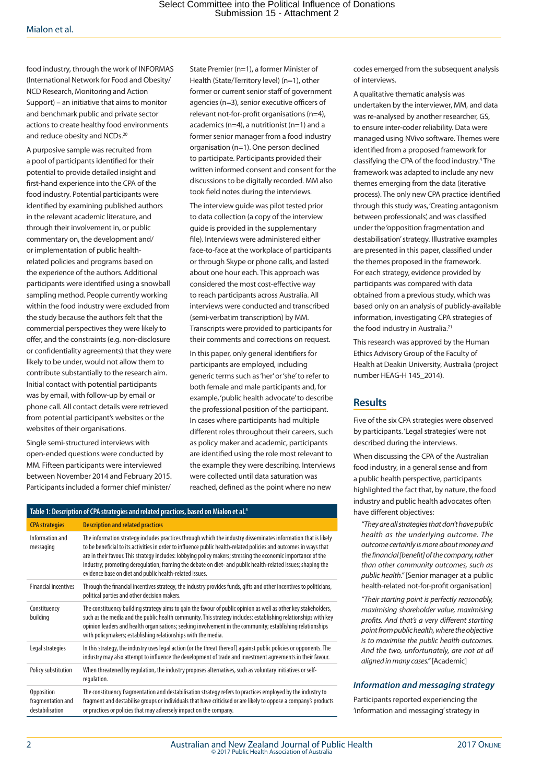food industry, through the work of INFORMAS (International Network for Food and Obesity/ NCD Research, Monitoring and Action Support) – an initiative that aims to monitor and benchmark public and private sector actions to create healthy food environments and reduce obesity and NCDs.<sup>20</sup>

A purposive sample was recruited from a pool of participants identified for their potential to provide detailed insight and first-hand experience into the CPA of the food industry. Potential participants were identified by examining published authors in the relevant academic literature, and through their involvement in, or public commentary on, the development and/ or implementation of public healthrelated policies and programs based on the experience of the authors. Additional participants were identified using a snowball sampling method. People currently working within the food industry were excluded from the study because the authors felt that the commercial perspectives they were likely to offer, and the constraints (e.g. non-disclosure or confidentiality agreements) that they were likely to be under, would not allow them to contribute substantially to the research aim. Initial contact with potential participants was by email, with follow-up by email or phone call. All contact details were retrieved from potential participant's websites or the websites of their organisations.

Single semi-structured interviews with open-ended questions were conducted by MM. Fifteen participants were interviewed between November 2014 and February 2015. Participants included a former chief minister/

State Premier (n=1), a former Minister of Health (State/Territory level) (n=1), other former or current senior staff of government agencies (n=3), senior executive officers of relevant not-for-profit organisations (n=4), academics (n=4), a nutritionist (n=1) and a former senior manager from a food industry organisation (n=1). One person declined to participate. Participants provided their written informed consent and consent for the discussions to be digitally recorded. MM also took field notes during the interviews.

The interview guide was pilot tested prior to data collection (a copy of the interview guide is provided in the supplementary file). Interviews were administered either face-to-face at the workplace of participants or through Skype or phone calls, and lasted about one hour each. This approach was considered the most cost-effective way to reach participants across Australia. All interviews were conducted and transcribed (semi-verbatim transcription) by MM. Transcripts were provided to participants for their comments and corrections on request.

In this paper, only general identifiers for participants are employed, including generic terms such as 'her' or 'she' to refer to both female and male participants and, for example, 'public health advocate' to describe the professional position of the participant. In cases where participants had multiple different roles throughout their careers, such as policy maker and academic, participants are identified using the role most relevant to the example they were describing. Interviews were collected until data saturation was reached, defined as the point where no new

| Table 1: Description of CPA strategies and related practices, based on Mialon et al. <sup>4</sup> |                                                                                                                                                                                                                                                                                                                                                                                                                                                                                                                                |
|---------------------------------------------------------------------------------------------------|--------------------------------------------------------------------------------------------------------------------------------------------------------------------------------------------------------------------------------------------------------------------------------------------------------------------------------------------------------------------------------------------------------------------------------------------------------------------------------------------------------------------------------|
| <b>CPA</b> strategies                                                                             | <b>Description and related practices</b>                                                                                                                                                                                                                                                                                                                                                                                                                                                                                       |
| Information and<br>messaging                                                                      | The information strategy includes practices through which the industry disseminates information that is likely<br>to be beneficial to its activities in order to influence public health-related policies and outcomes in ways that<br>are in their favour. This strategy includes: lobbying policy makers; stressing the economic importance of the<br>industry; promoting deregulation; framing the debate on diet- and public health-related issues; shaping the<br>evidence base on diet and public health-related issues. |
| <b>Financial incentives</b>                                                                       | Through the financial incentives strategy, the industry provides funds, gifts and other incentives to politicians,<br>political parties and other decision makers.                                                                                                                                                                                                                                                                                                                                                             |
| Constituency<br>building                                                                          | The constituency building strategy aims to gain the favour of public opinion as well as other key stakeholders,<br>such as the media and the public health community. This strategy includes: establishing relationships with key<br>opinion leaders and health organisations; seeking involvement in the community; establishing relationships<br>with policymakers; establishing relationships with the media.                                                                                                               |
| Legal strategies                                                                                  | In this strategy, the industry uses legal action (or the threat thereof) against public policies or opponents. The<br>industry may also attempt to influence the development of trade and investment agreements in their favour.                                                                                                                                                                                                                                                                                               |
| Policy substitution                                                                               | When threatened by regulation, the industry proposes alternatives, such as voluntary initiatives or self-<br>regulation.                                                                                                                                                                                                                                                                                                                                                                                                       |
| Opposition<br>fragmentation and<br>destabilisation                                                | The constituency fragmentation and destabilisation strategy refers to practices employed by the industry to<br>fragment and destabilise groups or individuals that have criticised or are likely to oppose a company's products<br>or practices or policies that may adversely impact on the company.                                                                                                                                                                                                                          |

codes emerged from the subsequent analysis of interviews.

A qualitative thematic analysis was undertaken by the interviewer, MM, and data was re-analysed by another researcher, GS, to ensure inter-coder reliability. Data were managed using NVivo software. Themes were identified from a proposed framework for classifying the CPA of the food industry.<sup>4</sup> The framework was adapted to include any new themes emerging from the data (iterative process). The only new CPA practice identified through this study was, 'Creating antagonism between professionals', and was classified under the 'opposition fragmentation and destabilisation' strategy. Illustrative examples are presented in this paper, classified under the themes proposed in the framework. For each strategy, evidence provided by participants was compared with data obtained from a previous study, which was based only on an analysis of publicly-available information, investigating CPA strategies of the food industry in Australia.<sup>21</sup>

This research was approved by the Human Ethics Advisory Group of the Faculty of Health at Deakin University, Australia (project number HEAG-H 145\_2014).

### **Results**

Five of the six CPA strategies were observed by participants. 'Legal strategies' were not described during the interviews.

When discussing the CPA of the Australian food industry, in a general sense and from a public health perspective, participants highlighted the fact that, by nature, the food industry and public health advocates often have different objectives:

*"They are all strategies that don't have public health as the underlying outcome. The outcome certainly is more about money and the financial [benefit] of the company, rather than other community outcomes, such as public health."* [Senior manager at a public health-related not-for-profit organisation]

*"Their starting point is perfectly reasonably, maximising shareholder value, maximising profits. And that's a very different starting point from public health, where the objective is to maximise the public health outcomes. And the two, unfortunately, are not at all aligned in many cases."* [Academic]

#### *Information and messaging strategy*

Participants reported experiencing the 'information and messaging' strategy in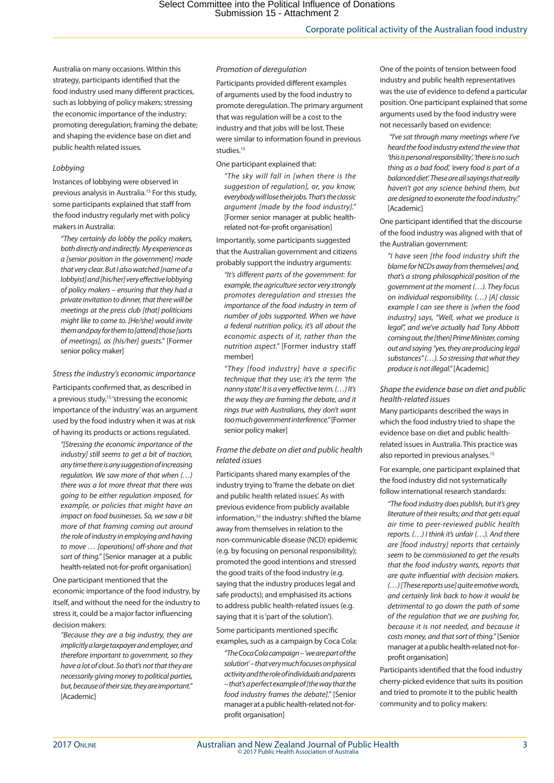Australia on many occasions. Within this strategy, participants identified that the food industry used many different practices, such as lobbying of policy makers; stressing the economic importance of the industry; promoting deregulation; framing the debate; and shaping the evidence base on diet and public health related issues.

#### *Lobbying*

Instances of lobbying were observed in previous analysis in Australia.15 For this study, some participants explained that staff from the food industry regularly met with policy makers in Australia:

*"They certainly do lobby the policy makers, both directly and indirectly. My experience as a [senior position in the government] made that very clear. But I also watched [name of a lobbyist] and [his/her] very effective lobbying of policy makers – ensuring that they had a private invitation to dinner, that there will be meetings at the press club [that] politicians might like to come to. [He/she] would invite them and pay for them to [attend] those [sorts of meetings], as [his/her] guests."* [Former senior policy maker]

#### *Stress the industry's economic importance*

Participants confirmed that, as described in a previous study,<sup>15</sup> 'stressing the economic importance of the industry' was an argument used by the food industry when it was at risk of having its products or actions regulated.

*"[Stressing the economic importance of the industry] still seems to get a bit of traction, any time there is any suggestion of increasing regulation. We saw more of that when (…) there was a lot more threat that there was going to be either regulation imposed, for example, or policies that might have an impact on food businesses. So, we saw a bit more of that framing coming out around the role of industry in employing and having to move … [operations] off-shore and that sort of thing."* [Senior manager at a public health-related not-for-profit organisation]

One participant mentioned that the economic importance of the food industry, by itself, and without the need for the industry to stress it, could be a major factor influencing decision makers:

*"Because they are a big industry, they are implicitly a large taxpayer and employer, and therefore important to government, so they have a lot of clout. So that's not that they are necessarily giving money to political parties, but, because of their size, they are important."*  [Academic]

#### *Promotion of deregulation*

Participants provided different examples of arguments used by the food industry to promote deregulation. The primary argument that was regulation will be a cost to the industry and that jobs will be lost. These were similar to information found in previous studies.<sup>15</sup>

#### One participant explained that:

*"The sky will fall in [when there is the suggestion of regulation], or, you know, everybody will lose their jobs. That's the classic argument [made by the food industry]."*  [Former senior manager at public healthrelated not-for-profit organisation]

Importantly, some participants suggested that the Australian government and citizens probably support the industry arguments:

*"It's different parts of the government: for example, the agriculture sector very strongly promotes deregulation and stresses the importance of the food industry in term of number of jobs supported. When we have a federal nutrition policy, it's all about the economic aspects of it, rather than the nutrition aspect."* [Former industry staff member]

*"They [food industry] have a specific technique that they use; it's the term 'the nanny state'. It is a very effective term. (…) It's the way they are framing the debate, and it rings true with Australians, they don't want too much government interference."* [Former senior policy maker]

#### *Frame the debate on diet and public health related issues*

Participants shared many examples of the industry trying to 'frame the debate on diet and public health related issues'. As with previous evidence from publicly available information,<sup>15</sup> the industry: shifted the blame away from themselves in relation to the non-communicable disease (NCD) epidemic (e.g. by focusing on personal responsibility); promoted the good intentions and stressed the good traits of the food industry (e.g. saying that the industry produces legal and safe products); and emphasised its actions to address public health-related issues (e.g. saying that it is 'part of the solution').

Some participants mentioned specific examples, such as a campaign by Coca Cola:

*"The Coca Cola campaign – 'we are part of the solution' – that very much focuses on physical activity and the role of individuals and parents – that's a perfect example of [the way that the food industry frames the debate]."* [Senior manager at a public health-related not-forprofit organisation]

One of the points of tension between food industry and public health representatives was the use of evidence to defend a particular position. One participant explained that some arguments used by the food industry were not necessarily based on evidence:

 *"I've sat through many meetings where I've heard the food industry extend the view that 'this is personal responsibility', 'there is no such thing as a bad food', 'every food is part of a balanced diet'. These are all sayings that really haven't got any science behind them, but are designed to exonerate the food industry."*  [Academic]

One participant identified that the discourse of the food industry was aligned with that of the Australian government:

*"I have seen [the food industry shift the blame for NCDs away from themselves] and, that's a strong philosophical position of the government at the moment (…). They focus on individual responsibility. (…) [A] classic example I can see there is [when the food industry] says, "Well, what we produce is legal", and we've actually had Tony Abbott coming out, the [then] Prime Minister, coming out and saying "yes, they are producing legal substances" (…). So stressing that what they produce is not illegal."* [Academic]

*Shape the evidence base on diet and public health-related issues*

Many participants described the ways in which the food industry tried to shape the evidence base on diet and public healthrelated issues in Australia. This practice was also reported in previous analyses.<sup>15</sup>

For example, one participant explained that the food industry did not systematically follow international research standards:

*"The food industry does publish, but it's grey literature of their results; and that gets equal air time to peer-reviewed public health reports. (…) I think it's unfair (…). And there are [food industry] reports that certainly seem to be commissioned to get the results that the food industry wants, reports that are quite influential with decision makers. (…) [These reports use] quite emotive words, and certainly link back to how it would be detrimental to go down the path of some of the regulation that we are pushing for, because it is not needed, and because it costs money, and that sort of thing."* [Senior manager at a public health-related not-forprofit organisation]

Participants identified that the food industry cherry-picked evidence that suits its position and tried to promote it to the public health community and to policy makers: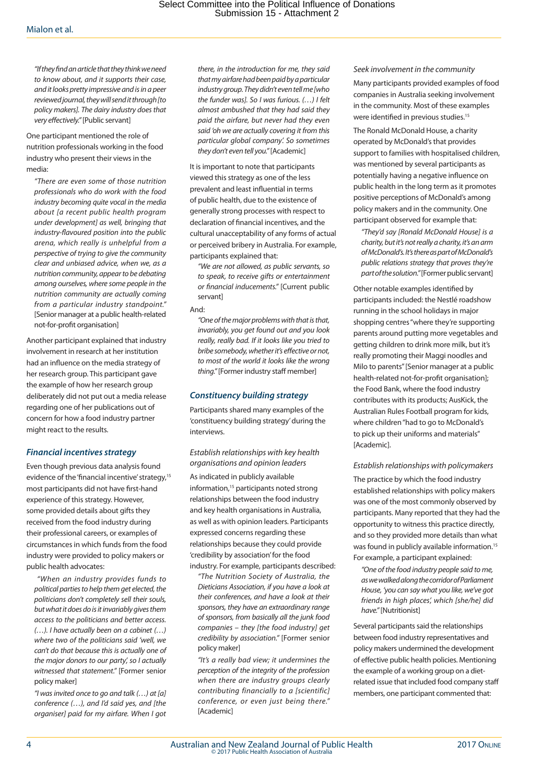*"If they find an article that they think we need to know about, and it supports their case, and it looks pretty impressive and is in a peer reviewed journal, they will send it through [to policy makers]. The dairy industry does that very effectively."* [Public servant]

One participant mentioned the role of nutrition professionals working in the food industry who present their views in the media:

*"There are even some of those nutrition professionals who do work with the food industry becoming quite vocal in the media about [a recent public health program under development] as well, bringing that industry-flavoured position into the public arena, which really is unhelpful from a perspective of trying to give the community clear and unbiased advice, when we, as a nutrition community, appear to be debating among ourselves, where some people in the nutrition community are actually coming from a particular industry standpoint."*  [Senior manager at a public health-related not-for-profit organisation]

Another participant explained that industry involvement in research at her institution had an influence on the media strategy of her research group. This participant gave the example of how her research group deliberately did not put out a media release regarding one of her publications out of concern for how a food industry partner might react to the results.

#### *Financial incentives strategy*

Even though previous data analysis found evidence of the 'financial incentive' strategy,<sup>15</sup> most participants did not have first-hand experience of this strategy. However, some provided details about gifts they received from the food industry during their professional careers, or examples of circumstances in which funds from the food industry were provided to policy makers or public health advocates:

 *"When an industry provides funds to political parties to help them get elected, the politicians don't completely sell their souls, but what it does do is it invariably gives them access to the politicians and better access. (…). I have actually been on a cabinet (…) where two of the politicians said 'well, we can't do that because this is actually one of the major donors to our party', so I actually witnessed that statement."* [Former senior policy maker]

*"I was invited once to go and talk (…) at [a] conference (…), and I'd said yes, and [the organiser] paid for my airfare. When I got*  *there, in the introduction for me, they said that my airfare had been paid by a particular industry group. They didn't even tell me [who the funder was]. So I was furious. (…) I felt almost ambushed that they had said they paid the airfare, but never had they even said 'oh we are actually covering it from this particular global company'. So sometimes they don't even tell you."* [Academic]

It is important to note that participants viewed this strategy as one of the less prevalent and least influential in terms of public health, due to the existence of generally strong processes with respect to declaration of financial incentives, and the cultural unacceptability of any forms of actual or perceived bribery in Australia. For example, participants explained that:

*"We are not allowed, as public servants, so to speak, to receive gifts or entertainment or financial inducements."* [Current public servant]

And:

*"One of the major problems with that is that, invariably, you get found out and you look really, really bad. If it looks like you tried to bribe somebody, whether it's effective or not, to most of the world it looks like the wrong thing."* [Former industry staff member]

#### *Constituency building strategy*

Participants shared many examples of the 'constituency building strategy' during the interviews.

*Establish relationships with key health organisations and opinion leaders*

As indicated in publicly available information,<sup>15</sup> participants noted strong relationships between the food industry and key health organisations in Australia, as well as with opinion leaders. Participants expressed concerns regarding these relationships because they could provide 'credibility by association' for the food industry. For example, participants described:

*"The Nutrition Society of Australia, the Dieticians Association, if you have a look at their conferences, and have a look at their sponsors, they have an extraordinary range of sponsors, from basically all the junk food companies – they [the food industry] get credibility by association."* [Former senior policy maker]

*"It's a really bad view; it undermines the perception of the integrity of the profession when there are industry groups clearly contributing financially to a [scientific] conference, or even just being there."*  [Academic]

*Seek involvement in the community* Many participants provided examples of food companies in Australia seeking involvement in the community. Most of these examples were identified in previous studies.<sup>15</sup>

The Ronald McDonald House, a charity operated by McDonald's that provides support to families with hospitalised children, was mentioned by several participants as potentially having a negative influence on public health in the long term as it promotes positive perceptions of McDonald's among policy makers and in the community. One participant observed for example that:

*"They'd say [Ronald McDonald House] is a charity, but it's not really a charity, it's an arm of McDonald's. It's there as part of McDonald's public relations strategy that proves they're part of the solution."* [Former public servant]

Other notable examples identified by participants included: the Nestlé roadshow running in the school holidays in major shopping centres "where they're supporting parents around putting more vegetables and getting children to drink more milk, but it's really promoting their Maggi noodles and Milo to parents" [Senior manager at a public health-related not-for-profit organisation]; the Food Bank, where the food industry contributes with its products; AusKick, the Australian Rules Football program for kids, where children "had to go to McDonald's to pick up their uniforms and materials" [Academic].

#### *Establish relationships with policymakers*

The practice by which the food industry established relationships with policy makers was one of the most commonly observed by participants. Many reported that they had the opportunity to witness this practice directly, and so they provided more details than what was found in publicly available information.<sup>15</sup> For example, a participant explained:

*"One of the food industry people said to me, as we walked along the corridor of Parliament House, 'you can say what you like, we've got friends in high places', which [she/he] did have."* [Nutritionist]

Several participants said the relationships between food industry representatives and policy makers undermined the development of effective public health policies. Mentioning the example of a working group on a dietrelated issue that included food company staff members, one participant commented that: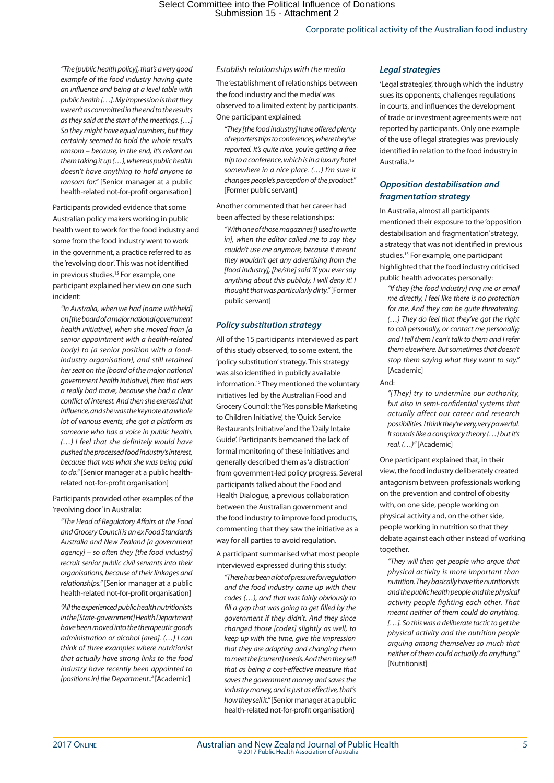*"The [public health policy], that's a very good example of the food industry having quite an influence and being at a level table with public health […]. My impression is that they weren't as committed in the end to the results as they said at the start of the meetings. […] So they might have equal numbers, but they certainly seemed to hold the whole results ransom – because, in the end, it's reliant on them taking it up (…), whereas public health doesn't have anything to hold anyone to ransom for."* [Senior manager at a public health-related not-for-profit organisation]

Participants provided evidence that some Australian policy makers working in public health went to work for the food industry and some from the food industry went to work in the government, a practice referred to as the 'revolving door'. This was not identified in previous studies.<sup>15</sup> For example, one participant explained her view on one such incident:

*"In Australia, when we had [name withheld] on [the board of a major national government health initiative], when she moved from [a senior appointment with a health-related body] to [a senior position with a foodindustry organisation], and still retained her seat on the [board of the major national government health initiative], then that was a really bad move, because she had a clear conflict of interest. And then she exerted that influence, and she was the keynote at a whole lot of various events, she got a platform as someone who has a voice in public health. (…) I feel that she definitely would have pushed the processed food industry's interest, because that was what she was being paid to do."* [Senior manager at a public healthrelated not-for-profit organisation]

Participants provided other examples of the 'revolving door' in Australia:

*"The Head of Regulatory Affairs at the Food and Grocery Council is an ex Food Standards Australia and New Zealand [a government agency] – so often they [the food industry] recruit senior public civil servants into their organisations, because of their linkages and relationships."* [Senior manager at a public health-related not-for-profit organisation]

*"All the experienced public health nutritionists in the [State-government] Health Department have been moved into the therapeutic goods administration or alcohol [area]. (…) I can think of three examples where nutritionist that actually have strong links to the food industry have recently been appointed to [positions in] the Department.."* [Academic]

*Establish relationships with the media* The 'establishment of relationships between the food industry and the media' was observed to a limited extent by participants. One participant explained:

*"They [the food industry] have offered plenty of reporters trips to conferences, where they've reported. It's quite nice, you're getting a free trip to a conference, which is in a luxury hotel somewhere in a nice place. (…) I'm sure it changes people's perception of the product."*  [Former public servant]

Another commented that her career had been affected by these relationships:

*"With one of those magazines [I used to write in], when the editor called me to say they couldn't use me anymore, because it meant they wouldn't get any advertising from the [food industry], [he/she] said 'if you ever say anything about this publicly, I will deny it'. I thought that was particularly dirty."* [Former public servant]

#### *Policy substitution strategy*

All of the 15 participants interviewed as part of this study observed, to some extent, the 'policy substitution' strategy. This strategy was also identified in publicly available information.15 They mentioned the voluntary initiatives led by the Australian Food and Grocery Council: the 'Responsible Marketing to Children Initiative', the 'Quick Service Restaurants Initiative' and the 'Daily Intake Guide'. Participants bemoaned the lack of formal monitoring of these initiatives and generally described them as 'a distraction' from government-led policy progress. Several participants talked about the Food and Health Dialogue, a previous collaboration between the Australian government and the food industry to improve food products, commenting that they saw the initiative as a way for all parties to avoid regulation.

A participant summarised what most people interviewed expressed during this study:

*"There has been a lot of pressure for regulation and the food industry came up with their codes (…), and that was fairly obviously to fill a gap that was going to get filled by the government if they didn't. And they since changed those [codes] slightly as well, to keep up with the time, give the impression that they are adapting and changing them to meet the [current] needs. And then they sell that as being a cost-effective measure that saves the government money and saves the industry money, and is just as effective, that's how they sell it."* [Senior manager at a public health-related not-for-profit organisation]

#### *Legal strategies*

'Legal strategies', through which the industry sues its opponents, challenges regulations in courts, and influences the development of trade or investment agreements were not reported by participants. Only one example of the use of legal strategies was previously identified in relation to the food industry in Australia.15

#### *Opposition destabilisation and fragmentation strategy*

In Australia, almost all participants mentioned their exposure to the 'opposition destabilisation and fragmentation' strategy, a strategy that was not identified in previous studies.15 For example, one participant highlighted that the food industry criticised public health advocates personally:

*"If they [the food industry] ring me or email me directly, I feel like there is no protection for me. And they can be quite threatening. (…) They do feel that they've got the right to call personally, or contact me personally; and I tell them I can't talk to them and I refer them elsewhere. But sometimes that doesn't stop them saying what they want to say."*  [Academic]

And:

*"[They] try to undermine our authority, but also in semi-confidential systems that actually affect our career and research possibilities. I think they're very, very powerful. It sounds like a conspiracy theory (…) but it's real. (…)"* [Academic]

One participant explained that, in their view, the food industry deliberately created antagonism between professionals working on the prevention and control of obesity with, on one side, people working on physical activity and, on the other side, people working in nutrition so that they debate against each other instead of working together.

*"They will then get people who argue that physical activity is more important than nutrition. They basically have the nutritionists and the public health people and the physical activity people fighting each other. That meant neither of them could do anything. […]. So this was a deliberate tactic to get the physical activity and the nutrition people arguing among themselves so much that neither of them could actually do anything."*  [Nutritionist]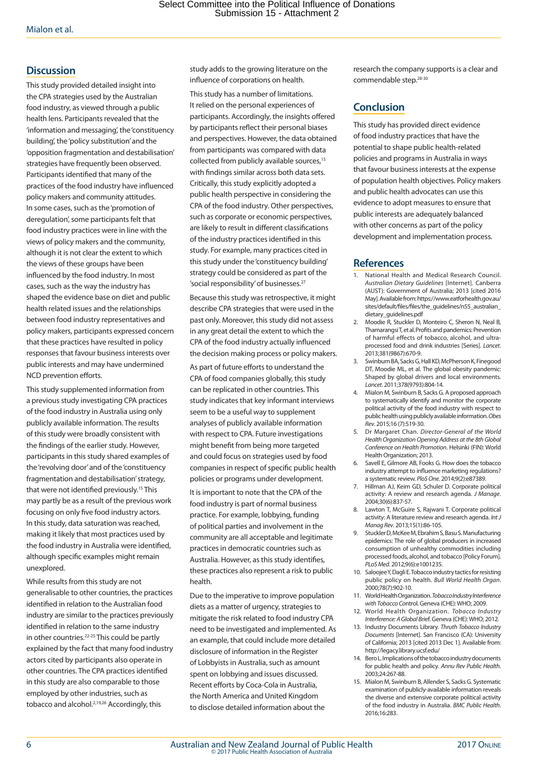# **Discussion**

This study provided detailed insight into the CPA strategies used by the Australian food industry, as viewed through a public health lens. Participants revealed that the 'information and messaging', the 'constituency building', the 'policy substitution' and the 'opposition fragmentation and destabilisation' strategies have frequently been observed. Participants identified that many of the practices of the food industry have influenced policy makers and community attitudes. In some cases, such as the 'promotion of deregulation', some participants felt that food industry practices were in line with the views of policy makers and the community, although it is not clear the extent to which the views of these groups have been influenced by the food industry. In most cases, such as the way the industry has shaped the evidence base on diet and public health related issues and the relationships between food industry representatives and policy makers, participants expressed concern that these practices have resulted in policy responses that favour business interests over public interests and may have undermined NCD prevention efforts.

This study supplemented information from a previous study investigating CPA practices of the food industry in Australia using only publicly available information. The results of this study were broadly consistent with the findings of the earlier study. However, participants in this study shared examples of the 'revolving door' and of the 'constituency fragmentation and destabilisation' strategy, that were not identified previously.15 This may partly be as a result of the previous work focusing on only five food industry actors. In this study, data saturation was reached, making it likely that most practices used by the food industry in Australia were identified, although specific examples might remain unexplored.

While results from this study are not generalisable to other countries, the practices identified in relation to the Australian food industry are similar to the practices previously identified in relation to the same industry in other countries.22-25 This could be partly explained by the fact that many food industry actors cited by participants also operate in other countries. The CPA practices identified in this study are also comparable to those employed by other industries, such as tobacco and alcohol.<sup>2,19,26</sup> Accordingly, this

study adds to the growing literature on the influence of corporations on health.

This study has a number of limitations. It relied on the personal experiences of participants. Accordingly, the insights offered by participants reflect their personal biases and perspectives. However, the data obtained from participants was compared with data collected from publicly available sources,<sup>15</sup> with findings similar across both data sets. Critically, this study explicitly adopted a public health perspective in considering the CPA of the food industry. Other perspectives, such as corporate or economic perspectives, are likely to result in different classifications of the industry practices identified in this study. For example, many practices cited in this study under the 'constituency building' strategy could be considered as part of the 'social responsibility' of businesses.27

Because this study was retrospective, it might describe CPA strategies that were used in the past only. Moreover, this study did not assess in any great detail the extent to which the CPA of the food industry actually influenced the decision making process or policy makers. As part of future efforts to understand the CPA of food companies globally, this study can be replicated in other countries. This study indicates that key informant interviews seem to be a useful way to supplement analyses of publicly available information with respect to CPA. Future investigations might benefit from being more targeted and could focus on strategies used by food companies in respect of specific public health policies or programs under development. It is important to note that the CPA of the food industry is part of normal business practice. For example, lobbying, funding of political parties and involvement in the community are all acceptable and legitimate practices in democratic countries such as Australia. However, as this study identifies, these practices also represent a risk to public health.

Due to the imperative to improve population diets as a matter of urgency, strategies to mitigate the risk related to food industry CPA need to be investigated and implemented. As an example, that could include more detailed disclosure of information in the Register of Lobbyists in Australia, such as amount spent on lobbying and issues discussed. Recent efforts by Coca-Cola in Australia, the North America and United Kingdom to disclose detailed information about the

research the company supports is a clear and commendable step.28-30

# **Conclusion**

This study has provided direct evidence of food industry practices that have the potential to shape public health-related policies and programs in Australia in ways that favour business interests at the expense of population health objectives. Policy makers and public health advocates can use this evidence to adopt measures to ensure that public interests are adequately balanced with other concerns as part of the policy development and implementation process.

# **References**

- 1. National Health and Medical Research Council. *Australian Dietary Guidelines* [Internet]. Canberra (AUST): Government of Australia; 2013 [cited 2016 May]. Available from: https://www.eatforhealth.gov.au/ sites/default/files/files/the\_guidelines/n55\_australian\_ dietary\_guidelines.pdf
- 2. Moodie R, Stuckler D, Monteiro C, Sheron N, Neal B, Thamarangsi T, et al. Profits and pandemics: Prevention of harmful effects of tobacco, alcohol, and ultraprocessed food and drink industries [Series]. *Lancet*. 2013;381(9867):670-9.
- 3. Swinburn BA, Sacks G, Hall KD, McPherson K, Finegood DT, Moodie ML, et al. The global obesity pandemic: Shaped by global drivers and local environments. *Lancet*. 2011;378(9793):804-14.
- 4. Mialon M, Swinburn B, Sacks G. A proposed approach to systematically identify and monitor the corporate political activity of the food industry with respect to public health using publicly available information. *Obes Rev*. 2015;16 (7):519-30.
- 5. Dr Margaret Chan. *Director-General of the World Health Organization Opening Address at the 8th Global Conference on Health Promotion*. Helsinki (FIN): World Health Organization; 2013.
- 6. Savell E, Gilmore AB, Fooks G. How does the tobacco industry attempt to influence marketing regulations? a systematic review. *PloS One*. 2014;9(2):e87389.
- 7. Hillman AJ, Keim GD, Schuler D. Corporate political activity: A review and research agenda. *J Manage*. 2004;30(6):837-57.
- 8. Lawton T, McGuire S, Rajwani T. Corporate political activity: A literature review and research agenda. *Int J Manag Rev*. 2013;15(1):86-105.
- 9. Stuckler D, McKee M, Ebrahim S, Basu S. Manufacturing epidemics: The role of global producers in increased consumption of unhealthy commodities including processed foods, alcohol, and tobacco [Policy Forum]. *PLoS Med*. 2012;9(6):e1001235.
- 10. Saloojee Y, Dagli E. Tobacco industry tactics for resisting public policy on health. *Bull World Health Organ*. 2000;78(7):902-10.
- 11. World Health Organization. *Tobacco Industry Interference with Tobacco Co*ntrol. Geneva (CHE): WHO; 2009.
- 12. World Health Organization. *Tobacco Industry Interference: A Global Bri*ef. Geneva (CHE): WHO; 2012.
- 13. Industry Documents Library. *Thruth Tobacco Industry Documents* [Internet]. San Francisco (CA): University of California; 2013 [cited 2013 Dec 1]. Available from: http://legacy.library.ucsf.edu/
- 14. Bero L. Implications of the tobacco industry documents for public health and policy. *Annu Rev Public Health*. 2003;24:267-88.
- 15. Mialon M, Swinburn B, Allender S, Sacks G. Systematic examination of publicly-available information reveals the diverse and extensive corporate political activity of the food industry in Australia. *BMC Public Health*. 2016;16:283.